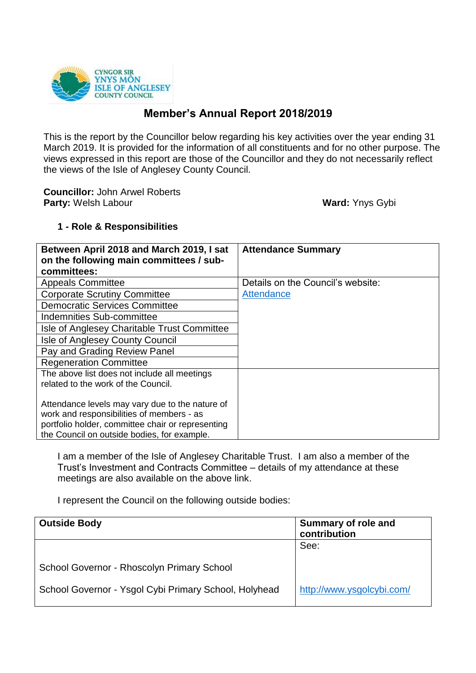

# **Member's Annual Report 2018/2019**

This is the report by the Councillor below regarding his key activities over the year ending 31 March 2019. It is provided for the information of all constituents and for no other purpose. The views expressed in this report are those of the Councillor and they do not necessarily reflect the views of the Isle of Anglesey County Council.

**Councillor:** John Arwel Roberts **Party:** Welsh Labour **Ward:** Ynys Gybi

# **1 - Role & Responsibilities**

| Between April 2018 and March 2019, I sat<br>on the following main committees / sub-                                                                                                              | <b>Attendance Summary</b>         |
|--------------------------------------------------------------------------------------------------------------------------------------------------------------------------------------------------|-----------------------------------|
| committees:                                                                                                                                                                                      |                                   |
| <b>Appeals Committee</b>                                                                                                                                                                         | Details on the Council's website: |
| <b>Corporate Scrutiny Committee</b>                                                                                                                                                              | Attendance                        |
| <b>Democratic Services Committee</b>                                                                                                                                                             |                                   |
| Indemnities Sub-committee                                                                                                                                                                        |                                   |
| Isle of Anglesey Charitable Trust Committee                                                                                                                                                      |                                   |
| Isle of Anglesey County Council                                                                                                                                                                  |                                   |
| Pay and Grading Review Panel                                                                                                                                                                     |                                   |
| <b>Regeneration Committee</b>                                                                                                                                                                    |                                   |
| The above list does not include all meetings                                                                                                                                                     |                                   |
| related to the work of the Council.                                                                                                                                                              |                                   |
| Attendance levels may vary due to the nature of<br>work and responsibilities of members - as<br>portfolio holder, committee chair or representing<br>the Council on outside bodies, for example. |                                   |

I am a member of the Isle of Anglesey Charitable Trust. I am also a member of the Trust's Investment and Contracts Committee – details of my attendance at these meetings are also available on the above link.

I represent the Council on the following outside bodies:

| <b>Outside Body</b>                                   | <b>Summary of role and</b><br>contribution |
|-------------------------------------------------------|--------------------------------------------|
|                                                       | See:                                       |
| School Governor - Rhoscolyn Primary School            |                                            |
| School Governor - Ysgol Cybi Primary School, Holyhead | http://www.ysgolcybi.com/                  |